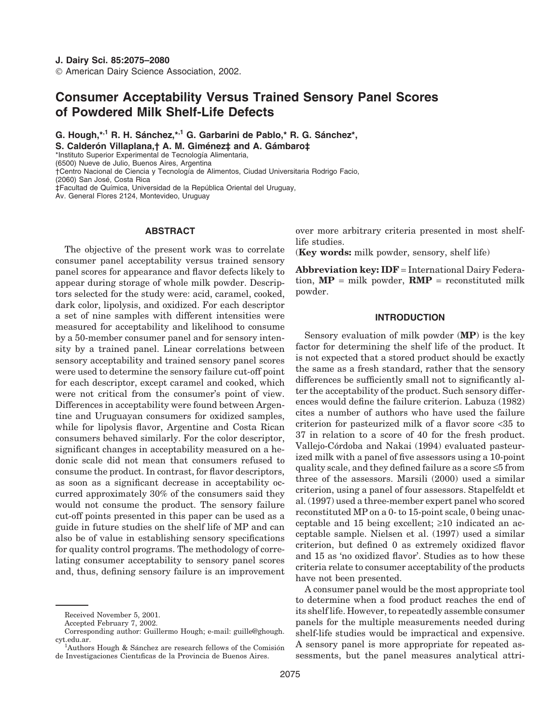**J. Dairy Sci. 85:2075–2080**

© American Dairy Science Association, 2002.

# **Consumer Acceptability Versus Trained Sensory Panel Scores of Powdered Milk Shelf-Life Defects**

**G. Hough,\*,1 R. H. Sa´nchez,\*,1 G. Garbarini de Pablo,\* R. G. Sa´nchez\*,**

S. Calderón Villaplana, † A. M. Giménez‡ and A. Gámbaro‡

\*Instituto Superior Experimental de Tecnología Alimentaria,

(6500) Nueve de Julio, Buenos Aires, Argentina

†Centro Nacional de Ciencia y Tecnologı´a de Alimentos, Ciudad Universitaria Rodrigo Facio,

(2060) San José, Costa Rica

‡Facultad de Quı´mica, Universidad de la Repu´blica Oriental del Uruguay,

Av. General Flores 2124, Montevideo, Uruguay

## **ABSTRACT**

The objective of the present work was to correlate consumer panel acceptability versus trained sensory panel scores for appearance and flavor defects likely to appear during storage of whole milk powder. Descriptors selected for the study were: acid, caramel, cooked, dark color, lipolysis, and oxidized. For each descriptor a set of nine samples with different intensities were measured for acceptability and likelihood to consume by a 50-member consumer panel and for sensory intensity by a trained panel. Linear correlations between sensory acceptability and trained sensory panel scores were used to determine the sensory failure cut-off point for each descriptor, except caramel and cooked, which were not critical from the consumer's point of view. Differences in acceptability were found between Argentine and Uruguayan consumers for oxidized samples, while for lipolysis flavor, Argentine and Costa Rican consumers behaved similarly. For the color descriptor, significant changes in acceptability measured on a hedonic scale did not mean that consumers refused to consume the product. In contrast, for flavor descriptors, as soon as a significant decrease in acceptability occurred approximately 30% of the consumers said they would not consume the product. The sensory failure cut-off points presented in this paper can be used as a guide in future studies on the shelf life of MP and can also be of value in establishing sensory specifications for quality control programs. The methodology of correlating consumer acceptability to sensory panel scores and, thus, defining sensory failure is an improvement

Received November 5, 2001.

Accepted February 7, 2002.

over more arbitrary criteria presented in most shelflife studies.

(**Key words:** milk powder, sensory, shelf life)

**Abbreviation key: IDF** = International Dairy Federation,  $MP = milk powder$ ,  $RMP = reconstructed$  milk powder.

#### **INTRODUCTION**

Sensory evaluation of milk powder (**MP**) is the key factor for determining the shelf life of the product. It is not expected that a stored product should be exactly the same as a fresh standard, rather that the sensory differences be sufficiently small not to significantly alter the acceptability of the product. Such sensory differences would define the failure criterion. Labuza (1982) cites a number of authors who have used the failure criterion for pasteurized milk of a flavor score <35 to 37 in relation to a score of 40 for the fresh product. Vallejo-Córdoba and Nakai (1994) evaluated pasteurized milk with a panel of five assessors using a 10-point quality scale, and they defined failure as a score ≤5 from three of the assessors. Marsili (2000) used a similar criterion, using a panel of four assessors. Stapelfeldt et al. (1997) used a three-member expert panel who scored reconstituted MP on a 0- to 15-point scale, 0 being unacceptable and 15 being excellent;  $\geq 10$  indicated an acceptable sample. Nielsen et al. (1997) used a similar criterion, but defined 0 as extremely oxidized flavor and 15 as 'no oxidized flavor'. Studies as to how these criteria relate to consumer acceptability of the products have not been presented.

A consumer panel would be the most appropriate tool to determine when a food product reaches the end of its shelf life. However, to repeatedly assemble consumer panels for the multiple measurements needed during shelf-life studies would be impractical and expensive. A sensory panel is more appropriate for repeated assessments, but the panel measures analytical attri-

Corresponding author: Guillermo Hough; e-mail: guille@ghough. cyt.edu.ar.

<sup>&</sup>lt;sup>1</sup>Authors Hough & Sánchez are research fellows of the Comisión de Investigaciones Cientıficas de la Provincia de Buenos Aires.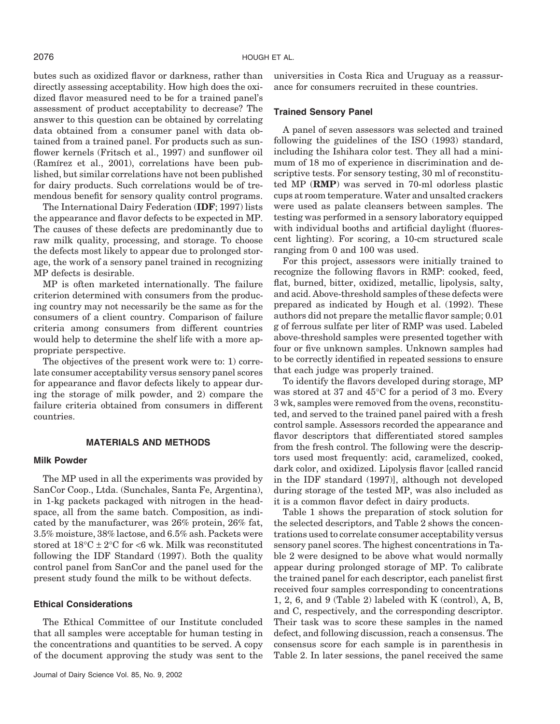butes such as oxidized flavor or darkness, rather than directly assessing acceptability. How high does the oxidized flavor measured need to be for a trained panel's assessment of product acceptability to decrease? The answer to this question can be obtained by correlating data obtained from a consumer panel with data obtained from a trained panel. For products such as sunflower kernels (Fritsch et al., 1997) and sunflower oil (Ramírez et al., 2001), correlations have been published, but similar correlations have not been published for dairy products. Such correlations would be of tremendous benefit for sensory quality control programs.

The International Dairy Federation (**IDF**; 1997) lists the appearance and flavor defects to be expected in MP. The causes of these defects are predominantly due to raw milk quality, processing, and storage. To choose the defects most likely to appear due to prolonged storage, the work of a sensory panel trained in recognizing MP defects is desirable.

MP is often marketed internationally. The failure criterion determined with consumers from the producing country may not necessarily be the same as for the consumers of a client country. Comparison of failure criteria among consumers from different countries would help to determine the shelf life with a more appropriate perspective.

The objectives of the present work were to: 1) correlate consumer acceptability versus sensory panel scores for appearance and flavor defects likely to appear during the storage of milk powder, and 2) compare the failure criteria obtained from consumers in different countries.

#### **MATERIALS AND METHODS**

#### **Milk Powder**

The MP used in all the experiments was provided by SanCor Coop., Ltda. (Sunchales, Santa Fe, Argentina), in 1-kg packets packaged with nitrogen in the headspace, all from the same batch. Composition, as indicated by the manufacturer, was 26% protein, 26% fat, 3.5% moisture, 38% lactose, and 6.5% ash. Packets were stored at  $18\degree C \pm 2\degree C$  for  $\lt 6$  wk. Milk was reconstituted following the IDF Standard (1997). Both the quality control panel from SanCor and the panel used for the present study found the milk to be without defects.

#### **Ethical Considerations**

The Ethical Committee of our Institute concluded that all samples were acceptable for human testing in the concentrations and quantities to be served. A copy of the document approving the study was sent to the universities in Costa Rica and Uruguay as a reassurance for consumers recruited in these countries.

#### **Trained Sensory Panel**

A panel of seven assessors was selected and trained following the guidelines of the ISO (1993) standard, including the Ishihara color test. They all had a minimum of 18 mo of experience in discrimination and descriptive tests. For sensory testing, 30 ml of reconstituted MP (**RMP**) was served in 70-ml odorless plastic cups at room temperature. Water and unsalted crackers were used as palate cleansers between samples. The testing was performed in a sensory laboratory equipped with individual booths and artificial daylight (fluorescent lighting). For scoring, a 10-cm structured scale ranging from 0 and 100 was used.

For this project, assessors were initially trained to recognize the following flavors in RMP: cooked, feed, flat, burned, bitter, oxidized, metallic, lipolysis, salty, and acid. Above-threshold samples of these defects were prepared as indicated by Hough et al. (1992). These authors did not prepare the metallic flavor sample; 0.01 g of ferrous sulfate per liter of RMP was used. Labeled above-threshold samples were presented together with four or five unknown samples. Unknown samples had to be correctly identified in repeated sessions to ensure that each judge was properly trained.

To identify the flavors developed during storage, MP was stored at 37 and 45°C for a period of 3 mo. Every 3 wk, samples were removed from the ovens, reconstituted, and served to the trained panel paired with a fresh control sample. Assessors recorded the appearance and flavor descriptors that differentiated stored samples from the fresh control. The following were the descriptors used most frequently: acid, caramelized, cooked, dark color, and oxidized. Lipolysis flavor [called rancid in the IDF standard (1997)], although not developed during storage of the tested MP, was also included as it is a common flavor defect in dairy products.

Table 1 shows the preparation of stock solution for the selected descriptors, and Table 2 shows the concentrations used to correlate consumer acceptability versus sensory panel scores. The highest concentrations in Table 2 were designed to be above what would normally appear during prolonged storage of MP. To calibrate the trained panel for each descriptor, each panelist first received four samples corresponding to concentrations 1, 2, 6, and 9 (Table 2) labeled with K (control), A, B, and C, respectively, and the corresponding descriptor. Their task was to score these samples in the named defect, and following discussion, reach a consensus. The consensus score for each sample is in parenthesis in Table 2. In later sessions, the panel received the same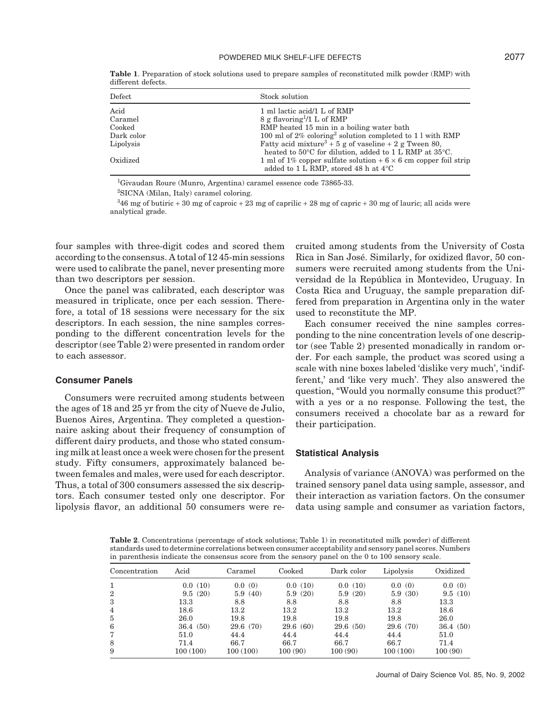| Defect     | Stock solution                                                                                                                                  |
|------------|-------------------------------------------------------------------------------------------------------------------------------------------------|
| Acid       | 1 ml lactic acid/1 L of RMP                                                                                                                     |
| Caramel    | 8 g flavoring <sup>1</sup> /1 L of RMP                                                                                                          |
| Cooked     | RMP heated 15 min in a boiling water bath                                                                                                       |
| Dark color | 100 ml of 2% coloring <sup>2</sup> solution completed to 1 l with RMP                                                                           |
| Lipolysis  | Fatty acid mixture <sup>3</sup> + 5 g of vaseline + 2 g Tween 80,<br>heated to $50^{\circ}$ C for dilution, added to 1 L RMP at $35^{\circ}$ C. |
| Oxidized   | 1 ml of 1% copper sulfate solution $+6 \times 6$ cm copper foil strip<br>added to 1 L RMP, stored 48 h at $4^{\circ}$ C                         |

**Table 1**. Preparation of stock solutions used to prepare samples of reconstituted milk powder (RMP) with different defects.

<sup>1</sup>Givaudan Roure (Munro, Argentina) caramel essence code 73865-33.

 $346$  mg of butiric + 30 mg of caproic + 23 mg of caprilic + 28 mg of capric + 30 mg of lauric; all acids were analytical grade.

four samples with three-digit codes and scored them according to the consensus. A total of 12 45-min sessions were used to calibrate the panel, never presenting more than two descriptors per session.

Once the panel was calibrated, each descriptor was measured in triplicate, once per each session. Therefore, a total of 18 sessions were necessary for the six descriptors. In each session, the nine samples corresponding to the different concentration levels for the descriptor (see Table 2) were presented in random order to each assessor.

#### **Consumer Panels**

Consumers were recruited among students between the ages of 18 and 25 yr from the city of Nueve de Julio, Buenos Aires, Argentina. They completed a questionnaire asking about their frequency of consumption of different dairy products, and those who stated consuming milk at least once a week were chosen for the present study. Fifty consumers, approximately balanced between females and males, were used for each descriptor. Thus, a total of 300 consumers assessed the six descriptors. Each consumer tested only one descriptor. For lipolysis flavor, an additional 50 consumers were re-

cruited among students from the University of Costa Rica in San José. Similarly, for oxidized flavor, 50 consumers were recruited among students from the Universidad de la República in Montevideo, Uruguay. In Costa Rica and Uruguay, the sample preparation differed from preparation in Argentina only in the water used to reconstitute the MP.

Each consumer received the nine samples corresponding to the nine concentration levels of one descriptor (see Table 2) presented monadically in random order. For each sample, the product was scored using a scale with nine boxes labeled 'dislike very much', 'indifferent,' and 'like very much'. They also answered the question, "Would you normally consume this product?" with a yes or a no response. Following the test, the consumers received a chocolate bar as a reward for their participation.

#### **Statistical Analysis**

Analysis of variance (ANOVA) was performed on the trained sensory panel data using sample, assessor, and their interaction as variation factors. On the consumer data using sample and consumer as variation factors,

**Table 2**. Concentrations (percentage of stock solutions; Table 1) in reconstituted milk powder) of different standards used to determine correlations between consumer acceptability and sensory panel scores. Numbers in parenthesis indicate the consensus score from the sensory panel on the 0 to 100 sensory scale.

| Concentration  | Acid     | Caramel  | Cooked   | Dark color | Lipolysis | Oxidized |  |
|----------------|----------|----------|----------|------------|-----------|----------|--|
| 1              | 0.0(10)  | 0.0(0)   | 0.0(10)  | 0.0(10)    | 0.0(0)    | 0.0(0)   |  |
| $\overline{2}$ | 9.5(20)  | 5.9(40)  | 5.9(20)  | 5.9(20)    | 5.9(30)   | 9.5(10)  |  |
| 3              | 13.3     | 8.8      | 8.8      | 8.8        | 8.8       | 13.3     |  |
| $\overline{4}$ | 18.6     | 13.2     | 13.2     | 13.2       | 13.2      | 18.6     |  |
| 5              | 26.0     | 19.8     | 19.8     | 19.8       | 19.8      | 26.0     |  |
| 6              | 36.4(50) | 29.6(70) | 29.6(60) | 29.6(50)   | 29.6(70)  | 36.4(50) |  |
| 7              | 51.0     | 44.4     | 44.4     | 44.4       | 44.4      | 51.0     |  |
| 8              | 71.4     | 66.7     | 66.7     | 66.7       | 66.7      | 71.4     |  |
| 9              | 100(100) | 100(100) | 100(90)  | 100(90)    | 100(100)  | 100(90)  |  |
|                |          |          |          |            |           |          |  |

<sup>2</sup> SICNA (Milan, Italy) caramel coloring.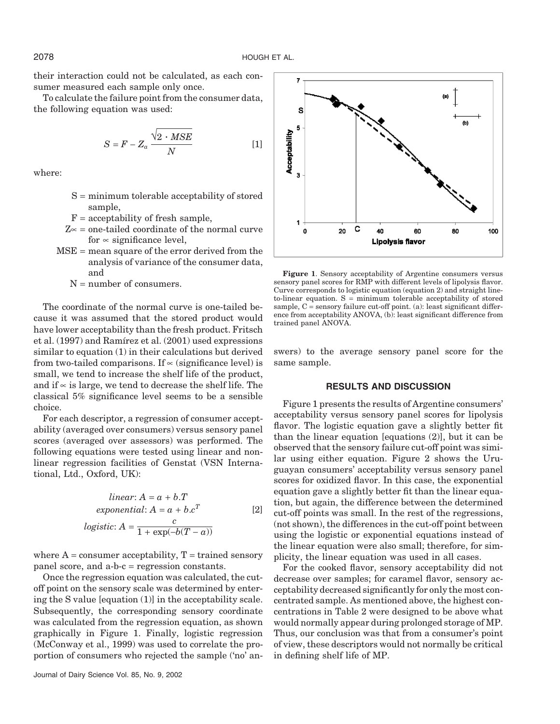their interaction could not be calculated, as each consumer measured each sample only once.

To calculate the failure point from the consumer data, the following equation was used:

$$
S = F - Z_a \frac{\sqrt{2 \cdot MSE}}{N}
$$
 [1]

where:

- S = minimum tolerable acceptability of stored sample,
- $F =$  acceptability of fresh sample,
- Z∝ = one-tailed coordinate of the normal curve for  $\sim$  significance level,
- MSE = mean square of the error derived from the analysis of variance of the consumer data, and
	- N = number of consumers.

The coordinate of the normal curve is one-tailed because it was assumed that the stored product would have lower acceptability than the fresh product. Fritsch et al. (1997) and Ramı´rez et al. (2001) used expressions similar to equation (1) in their calculations but derived from two-tailed comparisons. If  $\propto$  (significance level) is small, we tend to increase the shelf life of the product, and if  $\infty$  is large, we tend to decrease the shelf life. The classical 5% significance level seems to be a sensible choice.

For each descriptor, a regression of consumer acceptability (averaged over consumers) versus sensory panel scores (averaged over assessors) was performed. The following equations were tested using linear and nonlinear regression facilities of Genstat (VSN International, Ltd., Oxford, UK):

*linear*: 
$$
A = a + b
$$
.  
\n*exponential*:  $A = a + b.c^T$  [2]  
\n*logistic*:  $A = \frac{c}{1 + \exp(-b(T - a))}$ 

where  $A =$  consumer acceptability,  $T =$  trained sensory panel score, and a-b-c = regression constants.

Once the regression equation was calculated, the cutoff point on the sensory scale was determined by entering the S value [equation (1)] in the acceptability scale. Subsequently, the corresponding sensory coordinate was calculated from the regression equation, as shown graphically in Figure 1. Finally, logistic regression (McConway et al., 1999) was used to correlate the proportion of consumers who rejected the sample ('no' an-



**Figure 1**. Sensory acceptability of Argentine consumers versus sensory panel scores for RMP with different levels of lipolysis flavor. Curve corresponds to logistic equation (equation 2) and straight line $to$ -linear equation.  $S =$  minimum tolerable acceptability of stored sample,  $C =$  sensory failure cut-off point. (a): least significant difference from acceptability ANOVA, (b): least significant difference from trained panel ANOVA.

swers) to the average sensory panel score for the same sample.

### **RESULTS AND DISCUSSION**

Figure 1 presents the results of Argentine consumers' acceptability versus sensory panel scores for lipolysis flavor. The logistic equation gave a slightly better fit than the linear equation [equations (2)], but it can be observed that the sensory failure cut-off point was similar using either equation. Figure 2 shows the Uruguayan consumers' acceptability versus sensory panel scores for oxidized flavor. In this case, the exponential equation gave a slightly better fit than the linear equation, but again, the difference between the determined cut-off points was small. In the rest of the regressions, (not shown), the differences in the cut-off point between using the logistic or exponential equations instead of the linear equation were also small; therefore, for simplicity, the linear equation was used in all cases.

For the cooked flavor, sensory acceptability did not decrease over samples; for caramel flavor, sensory acceptability decreased significantly for only the most concentrated sample. As mentioned above, the highest concentrations in Table 2 were designed to be above what would normally appear during prolonged storage of MP. Thus, our conclusion was that from a consumer's point of view, these descriptors would not normally be critical in defining shelf life of MP.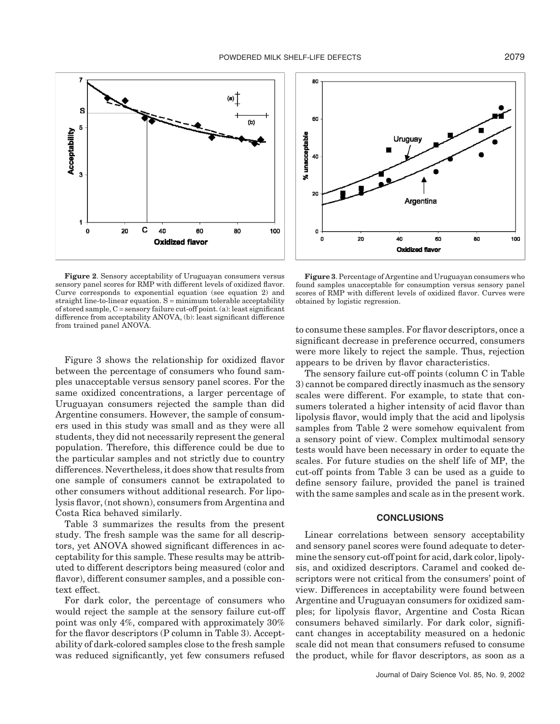scriptors were not critical from the consumers' point of view. Differences in acceptability were found between Argentine and Uruguayan consumers for oxidized samples; for lipolysis flavor, Argentine and Costa Rican consumers behaved similarly. For dark color, significant changes in acceptability measured on a hedonic scale did not mean that consumers refused to consume the product, while for flavor descriptors, as soon as a

Journal of Dairy Science Vol. 85, No. 9, 2002

**Figure 2**. Sensory acceptability of Uruguayan consumers versus sensory panel scores for RMP with different levels of oxidized flavor. Curve corresponds to exponential equation (see equation 2) and straight line-to-linear equation. S = minimum tolerable acceptability of stored sample,  $C =$  sensory failure cut-off point. (a): least significant difference from acceptability ANOVA, (b): least significant difference from trained panel ANOVA.

Figure 3 shows the relationship for oxidized flavor between the percentage of consumers who found samples unacceptable versus sensory panel scores. For the same oxidized concentrations, a larger percentage of Uruguayan consumers rejected the sample than did Argentine consumers. However, the sample of consumers used in this study was small and as they were all students, they did not necessarily represent the general population. Therefore, this difference could be due to the particular samples and not strictly due to country differences. Nevertheless, it does show that results from one sample of consumers cannot be extrapolated to other consumers without additional research. For lipolysis flavor, (not shown), consumers from Argentina and Costa Rica behaved similarly.

Table 3 summarizes the results from the present study. The fresh sample was the same for all descriptors, yet ANOVA showed significant differences in acceptability for this sample. These results may be attributed to different descriptors being measured (color and flavor), different consumer samples, and a possible context effect.

For dark color, the percentage of consumers who would reject the sample at the sensory failure cut-off point was only 4%, compared with approximately 30% for the flavor descriptors (P column in Table 3). Acceptability of dark-colored samples close to the fresh sample was reduced significantly, yet few consumers refused

found samples unacceptable for consumption versus sensory panel scores of RMP with different levels of oxidized flavor. Curves were obtained by logistic regression.

**Figure 3**. Percentage of Argentine and Uruguayan consumers who

to consume these samples. For flavor descriptors, once a significant decrease in preference occurred, consumers were more likely to reject the sample. Thus, rejection appears to be driven by flavor characteristics.

The sensory failure cut-off points (column C in Table 3) cannot be compared directly inasmuch as the sensory scales were different. For example, to state that consumers tolerated a higher intensity of acid flavor than lipolysis flavor, would imply that the acid and lipolysis samples from Table 2 were somehow equivalent from a sensory point of view. Complex multimodal sensory tests would have been necessary in order to equate the scales. For future studies on the shelf life of MP, the cut-off points from Table 3 can be used as a guide to define sensory failure, provided the panel is trained with the same samples and scale as in the present work.

#### **CONCLUSIONS**

Linear correlations between sensory acceptability and sensory panel scores were found adequate to determine the sensory cut-off point for acid, dark color, lipolysis, and oxidized descriptors. Caramel and cooked de-